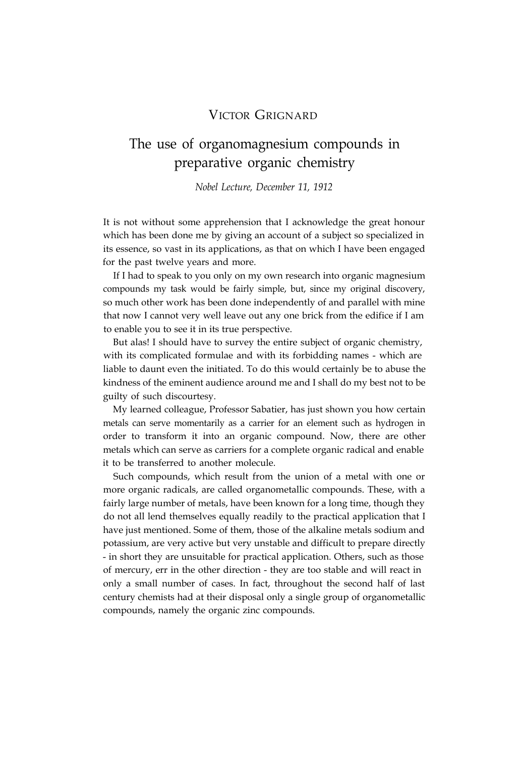# VICTOR GRIGNARD

# The use of organomagnesium compounds in preparative organic chemistry

*Nobel Lecture, December 11, 1912*

It is not without some apprehension that I acknowledge the great honour which has been done me by giving an account of a subject so specialized in its essence, so vast in its applications, as that on which I have been engaged for the past twelve years and more.

If I had to speak to you only on my own research into organic magnesium compounds my task would be fairly simple, but, since my original discovery, so much other work has been done independently of and parallel with mine that now I cannot very well leave out any one brick from the edifice if I am to enable you to see it in its true perspective.

But alas! I should have to survey the entire subject of organic chemistry, with its complicated formulae and with its forbidding names - which are liable to daunt even the initiated. To do this would certainly be to abuse the kindness of the eminent audience around me and I shall do my best not to be guilty of such discourtesy.

My learned colleague, Professor Sabatier, has just shown you how certain metals can serve momentarily as a carrier for an element such as hydrogen in order to transform it into an organic compound. Now, there are other metals which can serve as carriers for a complete organic radical and enable it to be transferred to another molecule.

Such compounds, which result from the union of a metal with one or more organic radicals, are called organometallic compounds. These, with a fairly large number of metals, have been known for a long time, though they do not all lend themselves equally readily to the practical application that I have just mentioned. Some of them, those of the alkaline metals sodium and potassium, are very active but very unstable and difficult to prepare directly - in short they are unsuitable for practical application. Others, such as those of mercury, err in the other direction - they are too stable and will react in only a small number of cases. In fact, throughout the second half of last century chemists had at their disposal only a single group of organometallic compounds, namely the organic zinc compounds.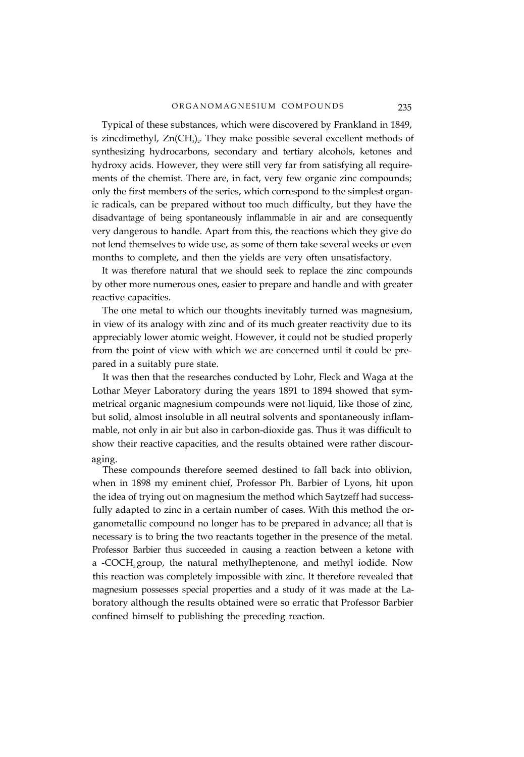#### ORGANOMAGNESIUM COMPOUNDS 235

Typical of these substances, which were discovered by Frankland in 1849, is zincdimethyl,  $Zn(CH_3)$ . They make possible several excellent methods of synthesizing hydrocarbons, secondary and tertiary alcohols, ketones and hydroxy acids. However, they were still very far from satisfying all requirements of the chemist. There are, in fact, very few organic zinc compounds; only the first members of the series, which correspond to the simplest organic radicals, can be prepared without too much difficulty, but they have the disadvantage of being spontaneously inflammable in air and are consequently very dangerous to handle. Apart from this, the reactions which they give do not lend themselves to wide use, as some of them take several weeks or even months to complete, and then the yields are very often unsatisfactory.

It was therefore natural that we should seek to replace the zinc compounds by other more numerous ones, easier to prepare and handle and with greater reactive capacities.

The one metal to which our thoughts inevitably turned was magnesium, in view of its analogy with zinc and of its much greater reactivity due to its appreciably lower atomic weight. However, it could not be studied properly from the point of view with which we are concerned until it could be prepared in a suitably pure state.

It was then that the researches conducted by Lohr, Fleck and Waga at the Lothar Meyer Laboratory during the years 1891 to 1894 showed that symmetrical organic magnesium compounds were not liquid, like those of zinc, but solid, almost insoluble in all neutral solvents and spontaneously inflammable, not only in air but also in carbon-dioxide gas. Thus it was difficult to show their reactive capacities, and the results obtained were rather discouraging.

These compounds therefore seemed destined to fall back into oblivion, when in 1898 my eminent chief, Professor Ph. Barbier of Lyons, hit upon the idea of trying out on magnesium the method which Saytzeff had successfully adapted to zinc in a certain number of cases. With this method the organometallic compound no longer has to be prepared in advance; all that is necessary is to bring the two reactants together in the presence of the metal. Professor Barbier thus succeeded in causing a reaction between a ketone with a -COCH<sub>3</sub> group, the natural methylheptenone, and methyl iodide. Now this reaction was completely impossible with zinc. It therefore revealed that magnesium possesses special properties and a study of it was made at the Laboratory although the results obtained were so erratic that Professor Barbier confined himself to publishing the preceding reaction.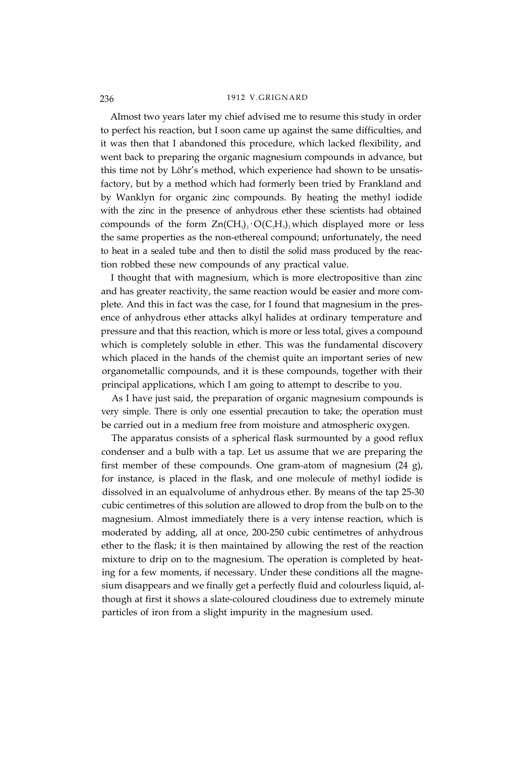Almost two years later my chief advised me to resume this study in order to perfect his reaction, but I soon came up against the same difficulties, and it was then that I abandoned this procedure, which lacked flexibility, and went back to preparing the organic magnesium compounds in advance, but this time not by Löhr's method, which experience had shown to be unsatisfactory, but by a method which had formerly been tried by Frankland and by Wanklyn for organic zinc compounds. By heating the methyl iodide with the zinc in the presence of anhydrous ether these scientists had obtained compounds of the form  $Zn(CH_3)$ ,  $O(C_2H_5)$ , which displayed more or less the same properties as the non-ethereal compound; unfortunately, the need to heat in a sealed tube and then to distil the solid mass produced by the reaction robbed these new compounds of any practical value.

I thought that with magnesium, which is more electropositive than zinc and has greater reactivity, the same reaction would be easier and more complete. And this in fact was the case, for I found that magnesium in the presence of anhydrous ether attacks alkyl halides at ordinary temperature and pressure and that this reaction, which is more or less total, gives a compound which is completely soluble in ether. This was the fundamental discovery which placed in the hands of the chemist quite an important series of new organometallic compounds, and it is these compounds, together with their principal applications, which I am going to attempt to describe to you.

As I have just said, the preparation of organic magnesium compounds is very simple. There is only one essential precaution to take; the operation must be carried out in a medium free from moisture and atmospheric oxygen.

The apparatus consists of a spherical flask surmounted by a good reflux condenser and a bulb with a tap. Let us assume that we are preparing the first member of these compounds. One gram-atom of magnesium (24 g), for instance, is placed in the flask, and one molecule of methyl iodide is dissolved in an equalvolume of anhydrous ether. By means of the tap 25-30 cubic centimetres of this solution are allowed to drop from the bulb on to the magnesium. Almost immediately there is a very intense reaction, which is moderated by adding, all at once, 200-250 cubic centimetres of anhydrous ether to the flask; it is then maintained by allowing the rest of the reaction mixture to drip on to the magnesium. The operation is completed by heating for a few moments, if necessary. Under these conditions all the magnesium disappears and we finally get a perfectly fluid and colourless liquid, although at first it shows a slate-coloured cloudiness due to extremely minute particles of iron from a slight impurity in the magnesium used.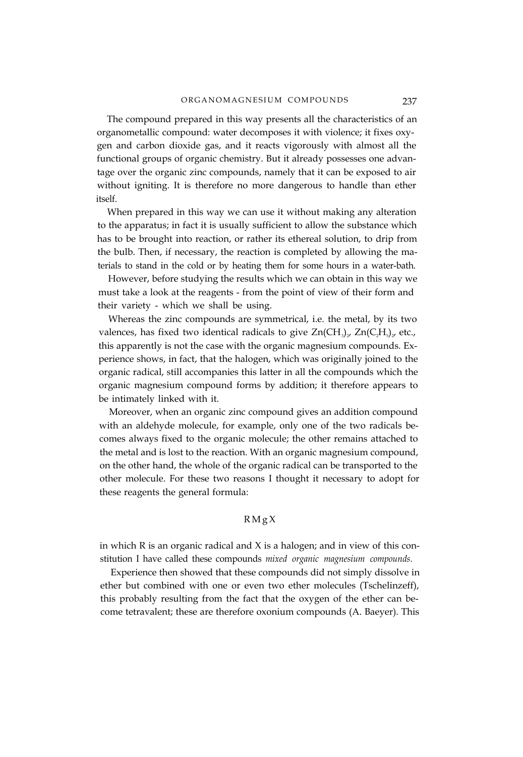The compound prepared in this way presents all the characteristics of an organometallic compound: water decomposes it with violence; it fixes oxygen and carbon dioxide gas, and it reacts vigorously with almost all the functional groups of organic chemistry. But it already possesses one advantage over the organic zinc compounds, namely that it can be exposed to air without igniting. It is therefore no more dangerous to handle than ether itself.

When prepared in this way we can use it without making any alteration to the apparatus; in fact it is usually sufficient to allow the substance which has to be brought into reaction, or rather its ethereal solution, to drip from the bulb. Then, if necessary, the reaction is completed by allowing the materials to stand in the cold or by heating them for some hours in a water-bath.

However, before studying the results which we can obtain in this way we must take a look at the reagents - from the point of view of their form and their variety - which we shall be using.

Whereas the zinc compounds are symmetrical, i.e. the metal, by its two valences, has fixed two identical radicals to give  $\text{Zn}(CH_3)_2$ ,  $\text{Zn}(C,H_5)_2$ , etc., this apparently is not the case with the organic magnesium compounds. Experience shows, in fact, that the halogen, which was originally joined to the organic radical, still accompanies this latter in all the compounds which the organic magnesium compound forms by addition; it therefore appears to be intimately linked with it.

Moreover, when an organic zinc compound gives an addition compound with an aldehyde molecule, for example, only one of the two radicals becomes always fixed to the organic molecule; the other remains attached to the metal and is lost to the reaction. With an organic magnesium compound, on the other hand, the whole of the organic radical can be transported to the other molecule. For these two reasons I thought it necessary to adopt for these reagents the general formula:

## $RMgX$

in which  $R$  is an organic radical and  $X$  is a halogen; and in view of this constitution I have called these compounds *mixed organic magnesium compounds.*

Experience then showed that these compounds did not simply dissolve in ether but combined with one or even two ether molecules (Tschelinzeff), this probably resulting from the fact that the oxygen of the ether can become tetravalent; these are therefore oxonium compounds (A. Baeyer). This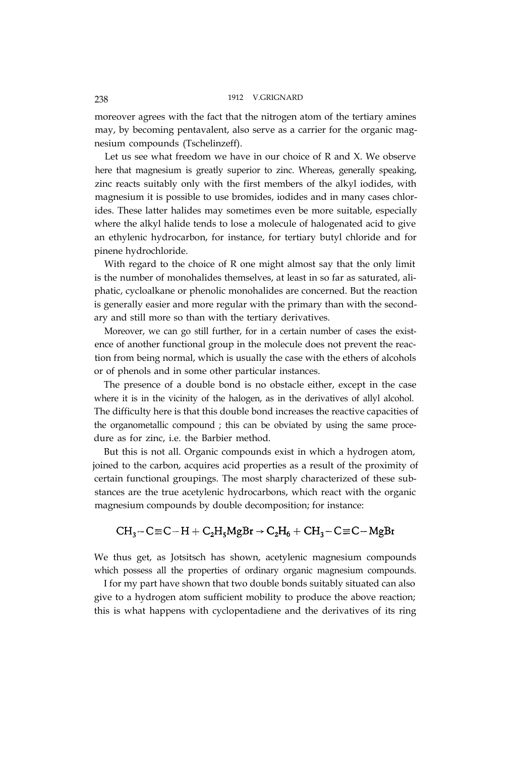moreover agrees with the fact that the nitrogen atom of the tertiary amines may, by becoming pentavalent, also serve as a carrier for the organic magnesium compounds (Tschelinzeff).

Let us see what freedom we have in our choice of R and X. We observe here that magnesium is greatly superior to zinc. Whereas, generally speaking, zinc reacts suitably only with the first members of the alkyl iodides, with magnesium it is possible to use bromides, iodides and in many cases chlorides. These latter halides may sometimes even be more suitable, especially where the alkyl halide tends to lose a molecule of halogenated acid to give an ethylenic hydrocarbon, for instance, for tertiary butyl chloride and for pinene hydrochloride.

With regard to the choice of R one might almost say that the only limit is the number of monohalides themselves, at least in so far as saturated, aliphatic, cycloalkane or phenolic monohalides are concerned. But the reaction is generally easier and more regular with the primary than with the secondary and still more so than with the tertiary derivatives.

Moreover, we can go still further, for in a certain number of cases the existence of another functional group in the molecule does not prevent the reaction from being normal, which is usually the case with the ethers of alcohols or of phenols and in some other particular instances.

The presence of a double bond is no obstacle either, except in the case where it is in the vicinity of the halogen, as in the derivatives of allyl alcohol. The difficulty here is that this double bond increases the reactive capacities of the organometallic compound ; this can be obviated by using the same procedure as for zinc, i.e. the Barbier method.

But this is not all. Organic compounds exist in which a hydrogen atom, joined to the carbon, acquires acid properties as a result of the proximity of certain functional groupings. The most sharply characterized of these substances are the true acetylenic hydrocarbons, which react with the organic magnesium compounds by double decomposition; for instance:

## $CH_3-C\equiv C-H+C_2H_5MgBr\rightarrow C_2H_6+CH_3-C\equiv C-MgBr$

We thus get, as Jotsitsch has shown, acetylenic magnesium compounds which possess all the properties of ordinary organic magnesium compounds.

I for my part have shown that two double bonds suitably situated can also give to a hydrogen atom sufficient mobility to produce the above reaction; this is what happens with cyclopentadiene and the derivatives of its ring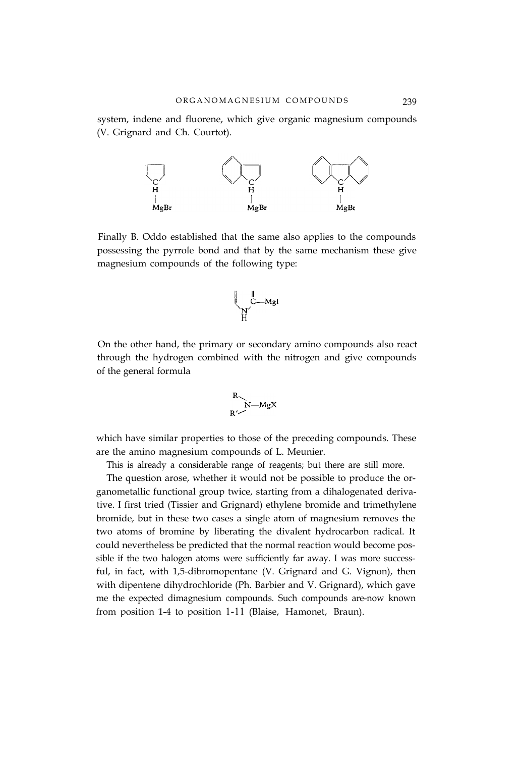system, indene and fluorene, which give organic magnesium compounds (V. Grignard and Ch. Courtot).



Finally B. Oddo established that the same also applies to the compounds possessing the pyrrole bond and that by the same mechanism these give magnesium compounds of the following type:

$$
\bigcup_{\substack{N \\ N' \\ H}
$$

On the other hand, the primary or secondary amino compounds also react through the hydrogen combined with the nitrogen and give compounds of the general formula

$$
\begin{array}{c}\nR \\
R\n\end{array}
$$

which have similar properties to those of the preceding compounds. These are the amino magnesium compounds of L. Meunier.

This is already a considerable range of reagents; but there are still more.

The question arose, whether it would not be possible to produce the organometallic functional group twice, starting from a dihalogenated derivative. I first tried (Tissier and Grignard) ethylene bromide and trimethylene bromide, but in these two cases a single atom of magnesium removes the two atoms of bromine by liberating the divalent hydrocarbon radical. It could nevertheless be predicted that the normal reaction would become possible if the two halogen atoms were sufficiently far away. I was more successful, in fact, with 1,5-dibromopentane (V. Grignard and G. Vignon), then with dipentene dihydrochloride (Ph. Barbier and V. Grignard), which gave me the expected dimagnesium compounds. Such compounds are-now known from position 1-4 to position 1-11 (Blaise, Hamonet, Braun).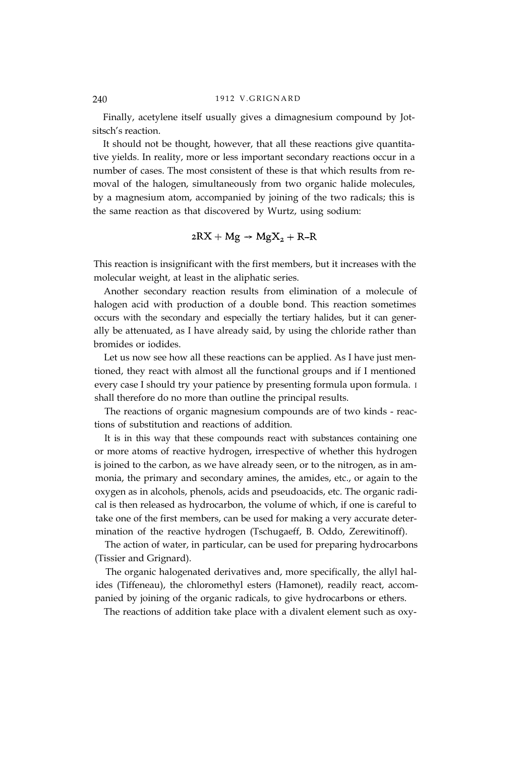Finally, acetylene itself usually gives a dimagnesium compound by Jotsitsch's reaction.

It should not be thought, however, that all these reactions give quantitative yields. In reality, more or less important secondary reactions occur in a number of cases. The most consistent of these is that which results from removal of the halogen, simultaneously from two organic halide molecules, by a magnesium atom, accompanied by joining of the two radicals; this is the same reaction as that discovered by Wurtz, using sodium:

$$
2RX + Mg \rightarrow MgX_2 + R-R
$$

This reaction is insignificant with the first members, but it increases with the molecular weight, at least in the aliphatic series.

Another secondary reaction results from elimination of a molecule of halogen acid with production of a double bond. This reaction sometimes occurs with the secondary and especially the tertiary halides, but it can generally be attenuated, as I have already said, by using the chloride rather than bromides or iodides.

Let us now see how all these reactions can be applied. As I have just mentioned, they react with almost all the functional groups and if I mentioned every case I should try your patience by presenting formula upon formula. I shall therefore do no more than outline the principal results.

The reactions of organic magnesium compounds are of two kinds - reactions of substitution and reactions of addition.

It is in this way that these compounds react with substances containing one or more atoms of reactive hydrogen, irrespective of whether this hydrogen is joined to the carbon, as we have already seen, or to the nitrogen, as in ammonia, the primary and secondary amines, the amides, etc., or again to the oxygen as in alcohols, phenols, acids and pseudoacids, etc. The organic radical is then released as hydrocarbon, the volume of which, if one is careful to take one of the first members, can be used for making a very accurate determination of the reactive hydrogen (Tschugaeff, B. Oddo, Zerewitinoff).

The action of water, in particular, can be used for preparing hydrocarbons (Tissier and Grignard).

The organic halogenated derivatives and, more specifically, the allyl halides (Tiffeneau), the chloromethyl esters (Hamonet), readily react, accompanied by joining of the organic radicals, to give hydrocarbons or ethers.

The reactions of addition take place with a divalent element such as oxy-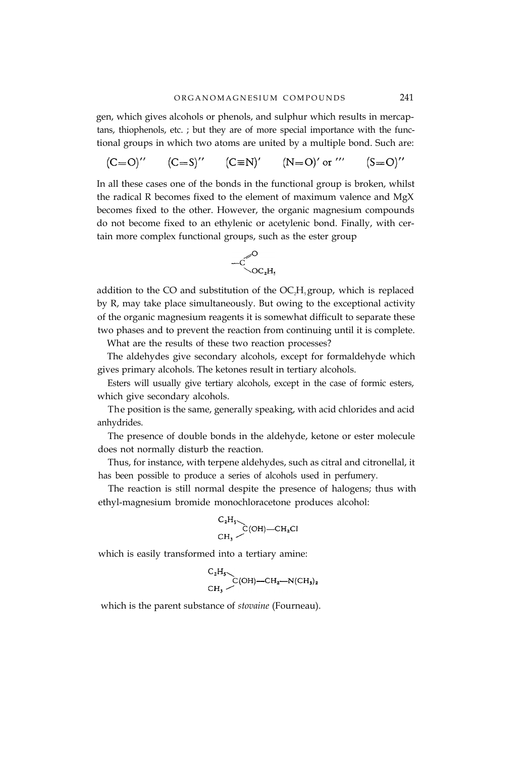gen, which gives alcohols or phenols, and sulphur which results in mercaptans, thiophenols, etc. ; but they are of more special importance with the functional groups in which two atoms are united by a multiple bond. Such are:

$$
(C=O)'' \qquad (C=S)'' \qquad (C\equiv N)' \qquad (N=O)'\text{ or }\text{'''} \qquad (S=O)''
$$

In all these cases one of the bonds in the functional group is broken, whilst the radical R becomes fixed to the element of maximum valence and MgX becomes fixed to the other. However, the organic magnesium compounds do not become fixed to an ethylenic or acetylenic bond. Finally, with certain more complex functional groups, such as the ester group



addition to the CO and substitution of the  $OC<sub>2</sub>H<sub>5</sub>$  group, which is replaced by R, may take place simultaneously. But owing to the exceptional activity of the organic magnesium reagents it is somewhat difficult to separate these two phases and to prevent the reaction from continuing until it is complete.

What are the results of these two reaction processes?

The aldehydes give secondary alcohols, except for formaldehyde which gives primary alcohols. The ketones result in tertiary alcohols.

Esters will usually give tertiary alcohols, except in the case of formic esters, which give secondary alcohols.

The position is the same, generally speaking, with acid chlorides and acid anhydrides.

The presence of double bonds in the aldehyde, ketone or ester molecule does not normally disturb the reaction.

Thus, for instance, with terpene aldehydes, such as citral and citronellal, it has been possible to produce a series of alcohols used in perfumery.

The reaction is still normal despite the presence of halogens; thus with ethyl-magnesium bromide monochloracetone produces alcohol:

$$
\begin{array}{c}\nC_2H_5 \\
\hline\nC(OH) & -CH_2Cl \\
CH_3\n\end{array}
$$

which is easily transformed into a tertiary amine:

$$
\begin{array}{c}\nC_2H_5 \\
\hline\nC(OH) - CH_2-N(CH_3)_2\n\end{array}
$$

which is the parent substance of *stovaine* (Fourneau).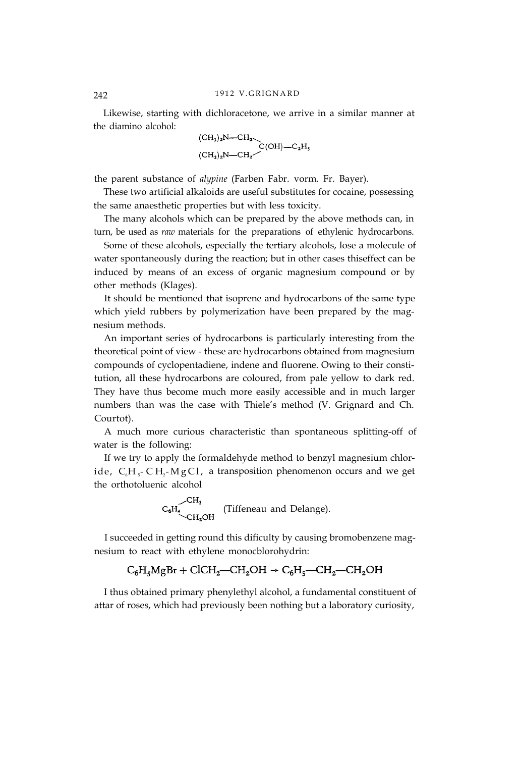Likewise, starting with dichloracetone, we arrive in a similar manner at the diamino alcohol:

$$
(CH_3)_2N-CH_2
$$
  
\n $CC(H_3)_2N-CH_2$   
\n $CC(H) - C_2H_5$ 

the parent substance of *alypine* (Farben Fabr. vorm. Fr. Bayer).

These two artificial alkaloids are useful substitutes for cocaine, possessing the same anaesthetic properties but with less toxicity.

The many alcohols which can be prepared by the above methods can, in turn, be used as *raw* materials for the preparations of ethylenic hydrocarbons.

Some of these alcohols, especially the tertiary alcohols, lose a molecule of water spontaneously during the reaction; but in other cases thiseffect can be induced by means of an excess of organic magnesium compound or by other methods (Klages).

It should be mentioned that isoprene and hydrocarbons of the same type which yield rubbers by polymerization have been prepared by the magnesium methods.

An important series of hydrocarbons is particularly interesting from the theoretical point of view - these are hydrocarbons obtained from magnesium compounds of cyclopentadiene, indene and fluorene. Owing to their constitution, all these hydrocarbons are coloured, from pale yellow to dark red. They have thus become much more easily accessible and in much larger numbers than was the case with Thiele's method (V. Grignard and Ch. Courtot).

A much more curious characteristic than spontaneous splitting-off of water is the following:

If we try to apply the formaldehyde method to benzyl magnesium chloride,  $C_6H_5$ - C H<sub>2</sub>-M g C l, a transposition phenomenon occurs and we get the orthotoluenic alcohol

$$
C_6H_4
$$
  
CH<sub>2</sub>OH (Tiffeneau and Delange).

I succeeded in getting round this dificulty by causing bromobenzene magnesium to react with ethylene monocblorohydrin:

$$
C_6H_5MgBr + CICH_2 - CH_2OH \rightarrow C_6H_5 - CH_2 - CH_2OH
$$

I thus obtained primary phenylethyl alcohol, a fundamental constituent of attar of roses, which had previously been nothing but a laboratory curiosity,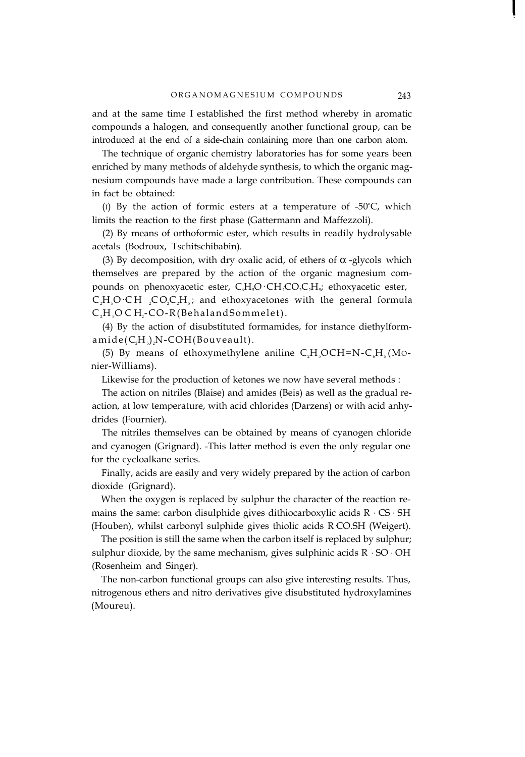and at the same time I established the first method whereby in aromatic compounds a halogen, and consequently another functional group, can be introduced at the end of a side-chain containing more than one carbon atom.

The technique of organic chemistry laboratories has for some years been enriched by many methods of aldehyde synthesis, to which the organic magnesium compounds have made a large contribution. These compounds can in fact be obtained:

(I) By the action of formic esters at a temperature of  $-50^{\circ}$ C, which limits the reaction to the first phase (Gattermann and Maffezzoli).

(2) By means of orthoformic ester, which results in readily hydrolysable acetals (Bodroux, Tschitschibabin).

(3) By decomposition, with dry oxalic acid, of ethers of  $\alpha$  -glycols which themselves are prepared by the action of the organic magnesium compounds on phenoxyacetic ester,  $C_6H_5O \cdot CH_2CO_2CH_5$ ; ethoxyacetic ester,

 $C_1H_2O\cdot CH$  ,  $CO_2C_2H_2$ ; and ethoxyacetones with the general formula  $C<sub>2</sub>H<sub>3</sub>OCH<sub>2</sub>-CO-R(Behaland Sommerlet).$ 

(4) By the action of disubstituted formamides, for instance diethylform $a$  mide( $C,H<sub>5</sub>$ ), N-COH(Bouveault).

(5) By means of ethoxymethylene aniline  $C_2H_5OCH=N-C_6H_5(MO$ nier-Williams).

Likewise for the production of ketones we now have several methods :

The action on nitriles (Blaise) and amides (Beis) as well as the gradual reaction, at low temperature, with acid chlorides (Darzens) or with acid anhydrides (Fournier).

The nitriles themselves can be obtained by means of cyanogen chloride and cyanogen (Grignard). -This latter method is even the only regular one for the cycloalkane series.

Finally, acids are easily and very widely prepared by the action of carbon dioxide (Grignard).

When the oxygen is replaced by sulphur the character of the reaction remains the same: carbon disulphide gives dithiocarboxylic acids R ⋅ CS ⋅ SH (Houben), whilst carbonyl sulphide gives thiolic acids R CO.SH (Weigert).

The position is still the same when the carbon itself is replaced by sulphur; sulphur dioxide, by the same mechanism, gives sulphinic acids R ⋅ SO ⋅ OH (Rosenheim and Singer).

The non-carbon functional groups can also give interesting results. Thus, nitrogenous ethers and nitro derivatives give disubstituted hydroxylamines (Moureu).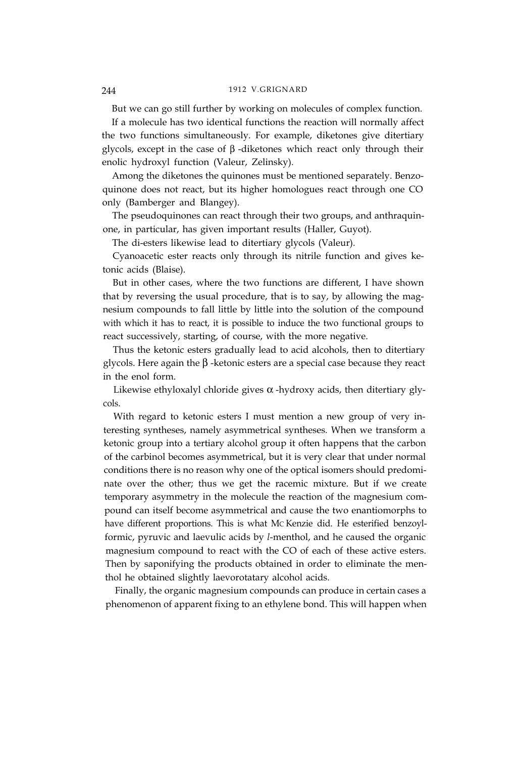But we can go still further by working on molecules of complex function.

If a molecule has two identical functions the reaction will normally affect the two functions simultaneously. For example, diketones give ditertiary glycols, except in the case of β -diketones which react only through their enolic hydroxyl function (Valeur, Zelinsky).

Among the diketones the quinones must be mentioned separately. Benzoquinone does not react, but its higher homologues react through one CO only (Bamberger and Blangey).

The pseudoquinones can react through their two groups, and anthraquinone, in particular, has given important results (Haller, Guyot).

The di-esters likewise lead to ditertiary glycols (Valeur).

Cyanoacetic ester reacts only through its nitrile function and gives ketonic acids (Blaise).

But in other cases, where the two functions are different, I have shown that by reversing the usual procedure, that is to say, by allowing the magnesium compounds to fall little by little into the solution of the compound with which it has to react, it is possible to induce the two functional groups to react successively, starting, of course, with the more negative.

Thus the ketonic esters gradually lead to acid alcohols, then to ditertiary glycols. Here again the β -ketonic esters are a special case because they react in the enol form.

Likewise ethyloxalyl chloride gives  $\alpha$  -hydroxy acids, then ditertiary glycols.

With regard to ketonic esters I must mention a new group of very interesting syntheses, namely asymmetrical syntheses. When we transform a ketonic group into a tertiary alcohol group it often happens that the carbon of the carbinol becomes asymmetrical, but it is very clear that under normal conditions there is no reason why one of the optical isomers should predominate over the other; thus we get the racemic mixture. But if we create temporary asymmetry in the molecule the reaction of the magnesium compound can itself become asymmetrical and cause the two enantiomorphs to have different proportions. This is what MC Kenzie did. He esterified benzoylformic, pyruvic and laevulic acids by *l*-menthol, and he caused the organic magnesium compound to react with the CO of each of these active esters. Then by saponifying the products obtained in order to eliminate the menthol he obtained slightly laevorotatary alcohol acids.

Finally, the organic magnesium compounds can produce in certain cases a phenomenon of apparent fixing to an ethylene bond. This will happen when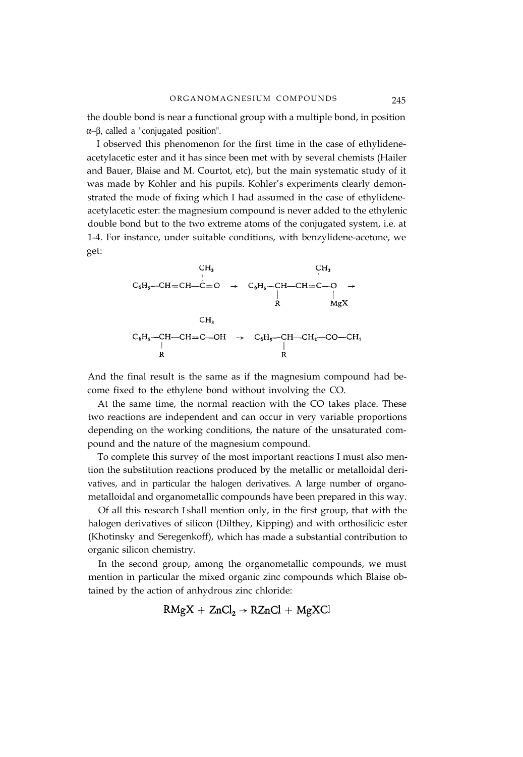the double bond is near a functional group with a multiple bond, in position α−β, called a "conjugated position".

I observed this phenomenon for the first time in the case of ethylideneacetylacetic ester and it has since been met with by several chemists (Hailer and Bauer, Blaise and M. Courtot, etc), but the main systematic study of it was made by Kohler and his pupils. Kohler's experiments clearly demonstrated the mode of fixing which I had assumed in the case of ethylideneacetylacetic ester: the magnesium compound is never added to the ethylenic double bond but to the two extreme atoms of the conjugated system, i.e. at 1-4. For instance, under suitable conditions, with benzylidene-acetone, we get:



And the final result is the same as if the magnesium compound had become fixed to the ethylene bond without involving the CO.

At the same time, the normal reaction with the CO takes place. These two reactions are independent and can occur in very variable proportions depending on the working conditions, the nature of the unsaturated compound and the nature of the magnesium compound.

To complete this survey of the most important reactions I must also mention the substitution reactions produced by the metallic or metalloidal derivatives, and in particular the halogen derivatives. A large number of organometalloidal and organometallic compounds have been prepared in this way.

Of all this research I shall mention only, in the first group, that with the halogen derivatives of silicon (Dilthey, Kipping) and with orthosilicic ester (Khotinsky and Seregenkoff), which has made a substantial contribution to organic silicon chemistry.

In the second group, among the organometallic compounds, we must mention in particular the mixed organic zinc compounds which Blaise obtained by the action of anhydrous zinc chloride:

$$
RMgX + ZnCl_2 \rightarrow RZnCl + MgXCI
$$